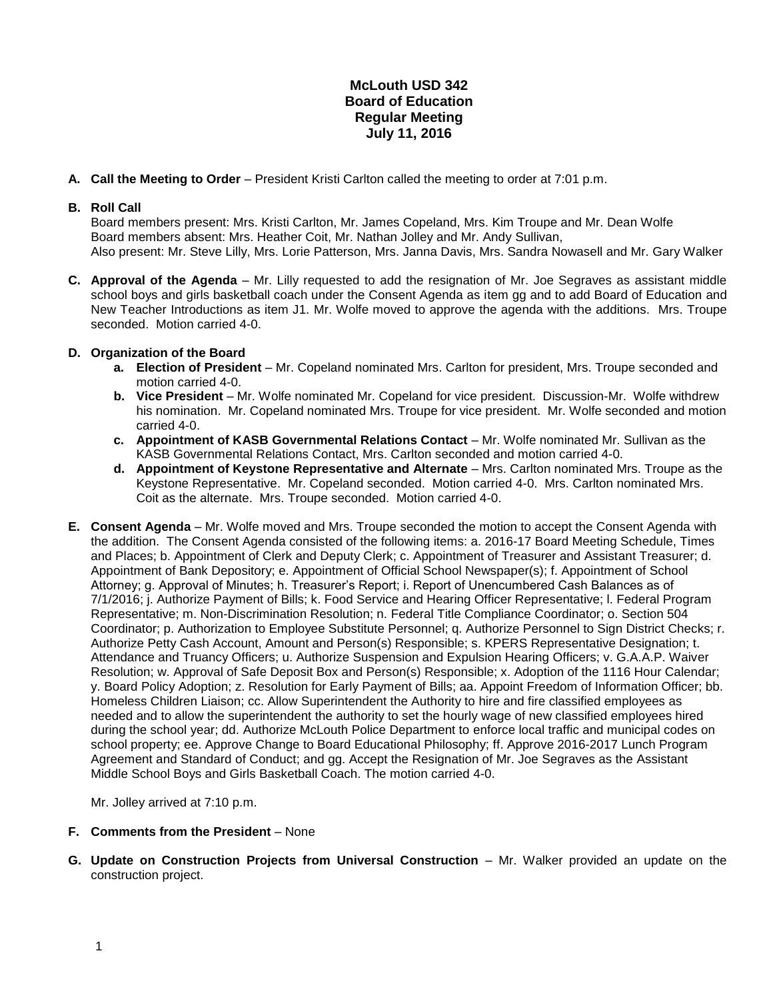## **McLouth USD 342 Board of Education Regular Meeting July 11, 2016**

**A. Call the Meeting to Order** – President Kristi Carlton called the meeting to order at 7:01 p.m.

## **B. Roll Call**

Board members present: Mrs. Kristi Carlton, Mr. James Copeland, Mrs. Kim Troupe and Mr. Dean Wolfe Board members absent: Mrs. Heather Coit, Mr. Nathan Jolley and Mr. Andy Sullivan, Also present: Mr. Steve Lilly, Mrs. Lorie Patterson, Mrs. Janna Davis, Mrs. Sandra Nowasell and Mr. Gary Walker

**C. Approval of the Agenda** – Mr. Lilly requested to add the resignation of Mr. Joe Segraves as assistant middle school boys and girls basketball coach under the Consent Agenda as item gg and to add Board of Education and New Teacher Introductions as item J1. Mr. Wolfe moved to approve the agenda with the additions. Mrs. Troupe seconded. Motion carried 4-0.

## **D. Organization of the Board**

- **a. Election of President** Mr. Copeland nominated Mrs. Carlton for president, Mrs. Troupe seconded and motion carried 4-0.
- **b. Vice President** Mr. Wolfe nominated Mr. Copeland for vice president. Discussion-Mr. Wolfe withdrew his nomination. Mr. Copeland nominated Mrs. Troupe for vice president. Mr. Wolfe seconded and motion carried 4-0.
- **c. Appointment of KASB Governmental Relations Contact** Mr. Wolfe nominated Mr. Sullivan as the KASB Governmental Relations Contact, Mrs. Carlton seconded and motion carried 4-0.
- **d. Appointment of Keystone Representative and Alternate** Mrs. Carlton nominated Mrs. Troupe as the Keystone Representative. Mr. Copeland seconded. Motion carried 4-0. Mrs. Carlton nominated Mrs. Coit as the alternate. Mrs. Troupe seconded. Motion carried 4-0.
- **E. Consent Agenda** Mr. Wolfe moved and Mrs. Troupe seconded the motion to accept the Consent Agenda with the addition. The Consent Agenda consisted of the following items: a. 2016-17 Board Meeting Schedule, Times and Places; b. Appointment of Clerk and Deputy Clerk; c. Appointment of Treasurer and Assistant Treasurer; d. Appointment of Bank Depository; e. Appointment of Official School Newspaper(s); f. Appointment of School Attorney; g. Approval of Minutes; h. Treasurer's Report; i. Report of Unencumbered Cash Balances as of 7/1/2016; j. Authorize Payment of Bills; k. Food Service and Hearing Officer Representative; l. Federal Program Representative; m. Non-Discrimination Resolution; n. Federal Title Compliance Coordinator; o. Section 504 Coordinator; p. Authorization to Employee Substitute Personnel; q. Authorize Personnel to Sign District Checks; r. Authorize Petty Cash Account, Amount and Person(s) Responsible; s. KPERS Representative Designation; t. Attendance and Truancy Officers; u. Authorize Suspension and Expulsion Hearing Officers; v. G.A.A.P. Waiver Resolution; w. Approval of Safe Deposit Box and Person(s) Responsible; x. Adoption of the 1116 Hour Calendar; y. Board Policy Adoption; z. Resolution for Early Payment of Bills; aa. Appoint Freedom of Information Officer; bb. Homeless Children Liaison; cc. Allow Superintendent the Authority to hire and fire classified employees as needed and to allow the superintendent the authority to set the hourly wage of new classified employees hired during the school year; dd. Authorize McLouth Police Department to enforce local traffic and municipal codes on school property; ee. Approve Change to Board Educational Philosophy; ff. Approve 2016-2017 Lunch Program Agreement and Standard of Conduct; and gg. Accept the Resignation of Mr. Joe Segraves as the Assistant Middle School Boys and Girls Basketball Coach. The motion carried 4-0.

Mr. Jolley arrived at 7:10 p.m.

- **F. Comments from the President** None
- **G. Update on Construction Projects from Universal Construction** Mr. Walker provided an update on the construction project.